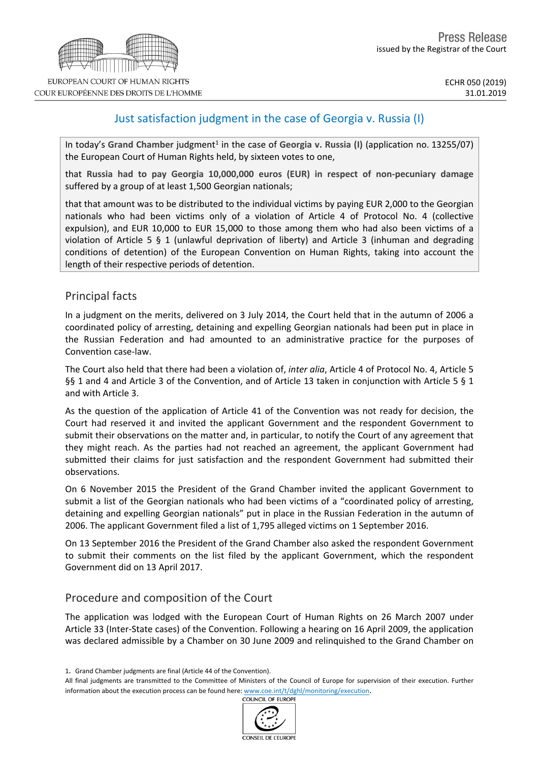# Just satisfaction judgment in the case of Georgia v. Russia (I)

In today's Grand Chamber judgment<sup>1</sup> in the case of Georgia v. Russia (I) (application no. 13255/07) the European Court of Human Rights held, by sixteen votes to one,

that **Russia had to pay Georgia 10,000,000 euros (EUR) in respect of non-pecuniary damage** suffered by a group of at least 1,500 Georgian nationals;

that that amount was to be distributed to the individual victims by paying EUR 2,000 to the Georgian nationals who had been victims only of a violation of Article 4 of Protocol No. 4 (collective expulsion), and EUR 10,000 to EUR 15,000 to those among them who had also been victims of a violation of Article 5 § 1 (unlawful deprivation of liberty) and Article 3 (inhuman and degrading conditions of detention) of the European Convention on Human Rights, taking into account the length of their respective periods of detention.

## Principal facts

In a judgment on the merits, delivered on 3 July 2014, the Court held that in the autumn of 2006 a coordinated policy of arresting, detaining and expelling Georgian nationals had been put in place in the Russian Federation and had amounted to an administrative practice for the purposes of Convention case-law.

The Court also held that there had been a violation of, *inter alia*, Article 4 of Protocol No. 4, Article 5 §§ 1 and 4 and Article 3 of the Convention, and of Article 13 taken in conjunction with Article 5 § 1 and with Article 3.

As the question of the application of Article 41 of the Convention was not ready for decision, the Court had reserved it and invited the applicant Government and the respondent Government to submit their observations on the matter and, in particular, to notify the Court of any agreement that they might reach. As the parties had not reached an agreement, the applicant Government had submitted their claims for just satisfaction and the respondent Government had submitted their observations.

On 6 November 2015 the President of the Grand Chamber invited the applicant Government to submit a list of the Georgian nationals who had been victims of a "coordinated policy of arresting, detaining and expelling Georgian nationals" put in place in the Russian Federation in the autumn of 2006. The applicant Government filed a list of 1,795 alleged victims on 1 September 2016.

On 13 September 2016 the President of the Grand Chamber also asked the respondent Government to submit their comments on the list filed by the applicant Government, which the respondent Government did on 13 April 2017.

## Procedure and composition of the Court

The application was lodged with the European Court of Human Rights on 26 March 2007 under Article 33 (Inter-State cases) of the Convention. Following a hearing on 16 April 2009, the application was declared admissible by a Chamber on 30 June 2009 and relinquished to the Grand Chamber on

All final judgments are transmitted to the Committee of Ministers of the Council of Europe for supervision of their execution. Further information about the execution process can be found here:  $www.coe.int/t/dghl/monitoring/execution$ .<br>COUNCIL OF FUROPE



<sup>1</sup>. Grand Chamber judgments are final (Article 44 of the Convention).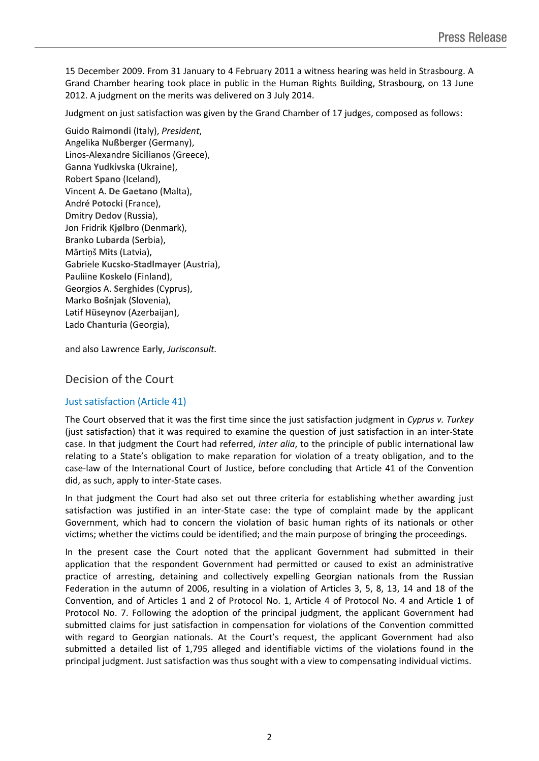15 December 2009. From 31 January to 4 February 2011 a witness hearing was held in Strasbourg. A Grand Chamber hearing took place in public in the Human Rights Building, Strasbourg, on 13 June 2012. A judgment on the merits was delivered on 3 July 2014.

Judgment on just satisfaction was given by the Grand Chamber of 17 judges, composed as follows:

Guido **Raimondi** (Italy), *President*, Angelika **Nußberger** (Germany), Linos-Alexandre **Sicilianos** (Greece), Ganna **Yudkivska** (Ukraine), Robert **Spano** (Iceland), Vincent A. **De Gaetano** (Malta), André **Potocki** (France), Dmitry **Dedov** (Russia), Jon Fridrik **Kjølbro** (Denmark), Branko **Lubarda** (Serbia), Mārtiņš **Mits** (Latvia), Gabriele **Kucsko-Stadlmayer** (Austria), Pauliine **Koskelo** (Finland), Georgios A. **Serghides** (Cyprus), Marko **Bošnjak** (Slovenia), Lәtif **Hüseynov** (Azerbaijan), Lado **Chanturia** (Georgia),

and also Lawrence **Early**, *Jurisconsult.*

### Decision of the Court

#### Just satisfaction (Article 41)

The Court observed that it was the first time since the just satisfaction judgment in *Cyprus v. Turkey* (just satisfaction) that it was required to examine the question of just satisfaction in an inter-State case. In that judgment the Court had referred, *inter alia*, to the principle of public international law relating to a State's obligation to make reparation for violation of a treaty obligation, and to the case-law of the International Court of Justice, before concluding that Article 41 of the Convention did, as such, apply to inter-State cases.

In that judgment the Court had also set out three criteria for establishing whether awarding just satisfaction was justified in an inter-State case: the type of complaint made by the applicant Government, which had to concern the violation of basic human rights of its nationals or other victims; whether the victims could be identified; and the main purpose of bringing the proceedings.

In the present case the Court noted that the applicant Government had submitted in their application that the respondent Government had permitted or caused to exist an administrative practice of arresting, detaining and collectively expelling Georgian nationals from the Russian Federation in the autumn of 2006, resulting in a violation of Articles 3, 5, 8, 13, 14 and 18 of the Convention, and of Articles 1 and 2 of Protocol No. 1, Article 4 of Protocol No. 4 and Article 1 of Protocol No. 7. Following the adoption of the principal judgment, the applicant Government had submitted claims for just satisfaction in compensation for violations of the Convention committed with regard to Georgian nationals. At the Court's request, the applicant Government had also submitted a detailed list of 1,795 alleged and identifiable victims of the violations found in the principal judgment. Just satisfaction was thus sought with a view to compensating individual victims.